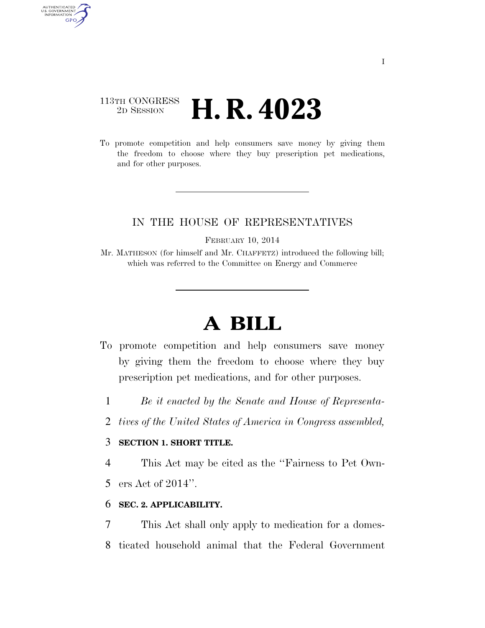# 113TH CONGRESS <sup>2D SESSION</sup> **H. R. 4023**

AUTHENTICATED<br>U.S. GOVERNMENT<br>INFORMATION GPO

> To promote competition and help consumers save money by giving them the freedom to choose where they buy prescription pet medications, and for other purposes.

# IN THE HOUSE OF REPRESENTATIVES

FEBRUARY 10, 2014

Mr. MATHESON (for himself and Mr. CHAFFETZ) introduced the following bill; which was referred to the Committee on Energy and Commerce

# **A BILL**

- To promote competition and help consumers save money by giving them the freedom to choose where they buy prescription pet medications, and for other purposes.
	- 1 *Be it enacted by the Senate and House of Representa-*
	- 2 *tives of the United States of America in Congress assembled,*

## 3 **SECTION 1. SHORT TITLE.**

4 This Act may be cited as the ''Fairness to Pet Own-

5 ers Act of 2014''.

#### 6 **SEC. 2. APPLICABILITY.**

7 This Act shall only apply to medication for a domes-8 ticated household animal that the Federal Government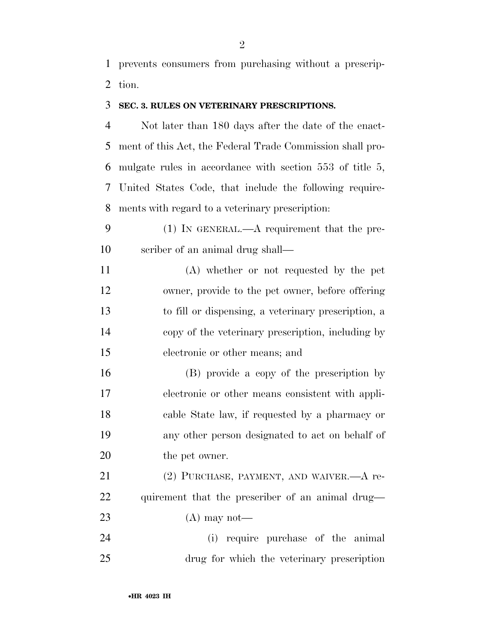prevents consumers from purchasing without a prescrip-tion.

#### **SEC. 3. RULES ON VETERINARY PRESCRIPTIONS.**

 Not later than 180 days after the date of the enact- ment of this Act, the Federal Trade Commission shall pro- mulgate rules in accordance with section 553 of title 5, United States Code, that include the following require-ments with regard to a veterinary prescription:

- (1) IN GENERAL.—A requirement that the pre-scriber of an animal drug shall—
- (A) whether or not requested by the pet owner, provide to the pet owner, before offering to fill or dispensing, a veterinary prescription, a copy of the veterinary prescription, including by electronic or other means; and

 (B) provide a copy of the prescription by electronic or other means consistent with appli- cable State law, if requested by a pharmacy or any other person designated to act on behalf of 20 the pet owner.

21 (2) PURCHASE, PAYMENT, AND WAIVER.—A re- quirement that the prescriber of an animal drug— 23  $(A)$  may not—

 (i) require purchase of the animal drug for which the veterinary prescription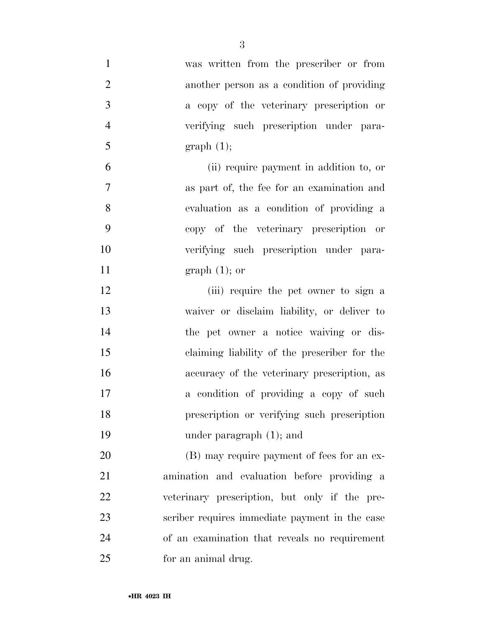| $\mathbf{1}$   | was written from the prescriber or from        |
|----------------|------------------------------------------------|
| $\overline{2}$ | another person as a condition of providing     |
| 3              | a copy of the veterinary prescription or       |
| $\overline{4}$ | verifying such prescription under para-        |
| 5              | graph(1);                                      |
| 6              | (ii) require payment in addition to, or        |
| 7              | as part of, the fee for an examination and     |
| 8              | evaluation as a condition of providing a       |
| 9              | copy of the veterinary prescription or         |
| 10             | verifying such prescription under para-        |
| 11             | $graph(1);$ or                                 |
| 12             | (iii) require the pet owner to sign a          |
| 13             | waiver or disclaim liability, or deliver to    |
| 14             | the pet owner a notice waiving or dis-         |
| 15             | claiming liability of the prescriber for the   |
| 16             | accuracy of the veterinary prescription, as    |
| 17             | a condition of providing a copy of such        |
| 18             | prescription or verifying such prescription    |
| 19             | under paragraph $(1)$ ; and                    |
| 20             | (B) may require payment of fees for an ex-     |
| 21             | amination and evaluation before providing a    |
| 22             | veterinary prescription, but only if the pre-  |
| 23             | scriber requires immediate payment in the case |
| 24             | of an examination that reveals no requirement  |
| 25             | for an animal drug.                            |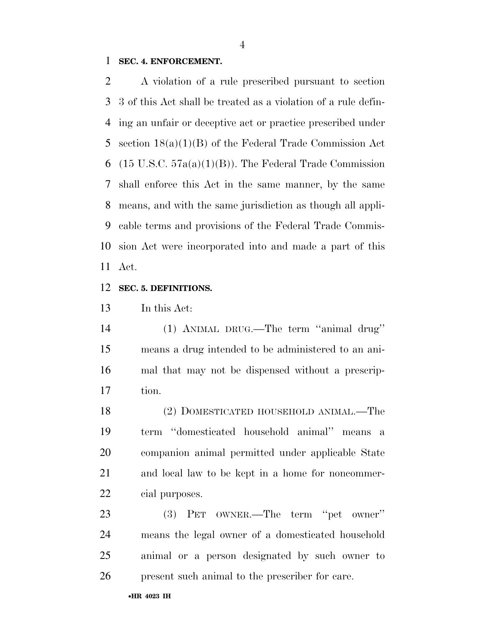#### **SEC. 4. ENFORCEMENT.**

 A violation of a rule prescribed pursuant to section 3 of this Act shall be treated as a violation of a rule defin- ing an unfair or deceptive act or practice prescribed under section 18(a)(1)(B) of the Federal Trade Commission Act 6 (15 U.S.C.  $57a(a)(1)(B)$ ). The Federal Trade Commission shall enforce this Act in the same manner, by the same means, and with the same jurisdiction as though all appli- cable terms and provisions of the Federal Trade Commis- sion Act were incorporated into and made a part of this Act.

## **SEC. 5. DEFINITIONS.**

In this Act:

 (1) ANIMAL DRUG.—The term ''animal drug'' means a drug intended to be administered to an ani- mal that may not be dispensed without a prescrip-tion.

 (2) DOMESTICATED HOUSEHOLD ANIMAL.—The term ''domesticated household animal'' means a companion animal permitted under applicable State and local law to be kept in a home for noncommer-cial purposes.

 (3) PET OWNER.—The term ''pet owner'' means the legal owner of a domesticated household animal or a person designated by such owner to present such animal to the prescriber for care.